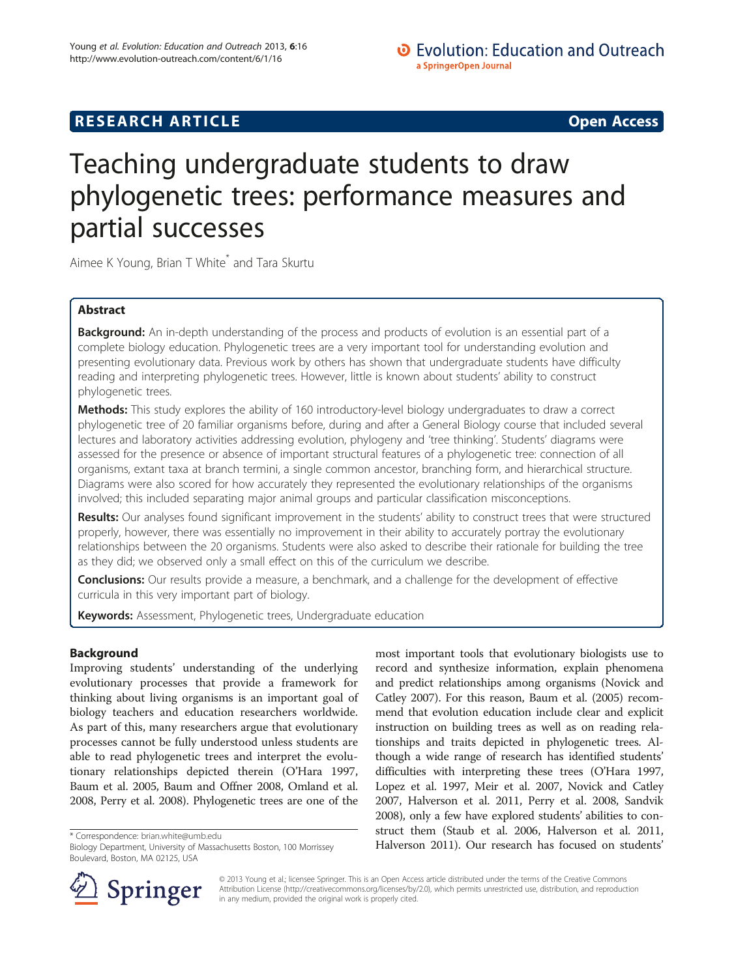## **RESEARCH ARTICLE Example 2014 12:30 The SEAR CH ACCESS**

# Teaching undergraduate students to draw phylogenetic trees: performance measures and partial successes

Aimee K Young, Brian T White\* and Tara Skurtu

## Abstract

Background: An in-depth understanding of the process and products of evolution is an essential part of a complete biology education. Phylogenetic trees are a very important tool for understanding evolution and presenting evolutionary data. Previous work by others has shown that undergraduate students have difficulty reading and interpreting phylogenetic trees. However, little is known about students' ability to construct phylogenetic trees.

Methods: This study explores the ability of 160 introductory-level biology undergraduates to draw a correct phylogenetic tree of 20 familiar organisms before, during and after a General Biology course that included several lectures and laboratory activities addressing evolution, phylogeny and 'tree thinking'. Students' diagrams were assessed for the presence or absence of important structural features of a phylogenetic tree: connection of all organisms, extant taxa at branch termini, a single common ancestor, branching form, and hierarchical structure. Diagrams were also scored for how accurately they represented the evolutionary relationships of the organisms involved; this included separating major animal groups and particular classification misconceptions.

Results: Our analyses found significant improvement in the students' ability to construct trees that were structured properly, however, there was essentially no improvement in their ability to accurately portray the evolutionary relationships between the 20 organisms. Students were also asked to describe their rationale for building the tree as they did; we observed only a small effect on this of the curriculum we describe.

**Conclusions:** Our results provide a measure, a benchmark, and a challenge for the development of effective curricula in this very important part of biology.

Keywords: Assessment, Phylogenetic trees, Undergraduate education

## Background

Improving students' understanding of the underlying evolutionary processes that provide a framework for thinking about living organisms is an important goal of biology teachers and education researchers worldwide. As part of this, many researchers argue that evolutionary processes cannot be fully understood unless students are able to read phylogenetic trees and interpret the evolutionary relationships depicted therein (O'Hara [1997](#page-13-0), Baum et al. [2005,](#page-13-0) Baum and Offner [2008,](#page-13-0) Omland et al. [2008,](#page-13-0) Perry et al. [2008](#page-13-0)). Phylogenetic trees are one of the

Biology Department, University of Massachusetts Boston, 100 Morrissey Boulevard, Boston, MA 02125, USA





© 2013 Young et al.; licensee Springer. This is an Open Access article distributed under the terms of the Creative Commons Attribution License [\(http://creativecommons.org/licenses/by/2.0\)](http://creativecommons.org/licenses/by/2.0), which permits unrestricted use, distribution, and reproduction in any medium, provided the original work is properly cited.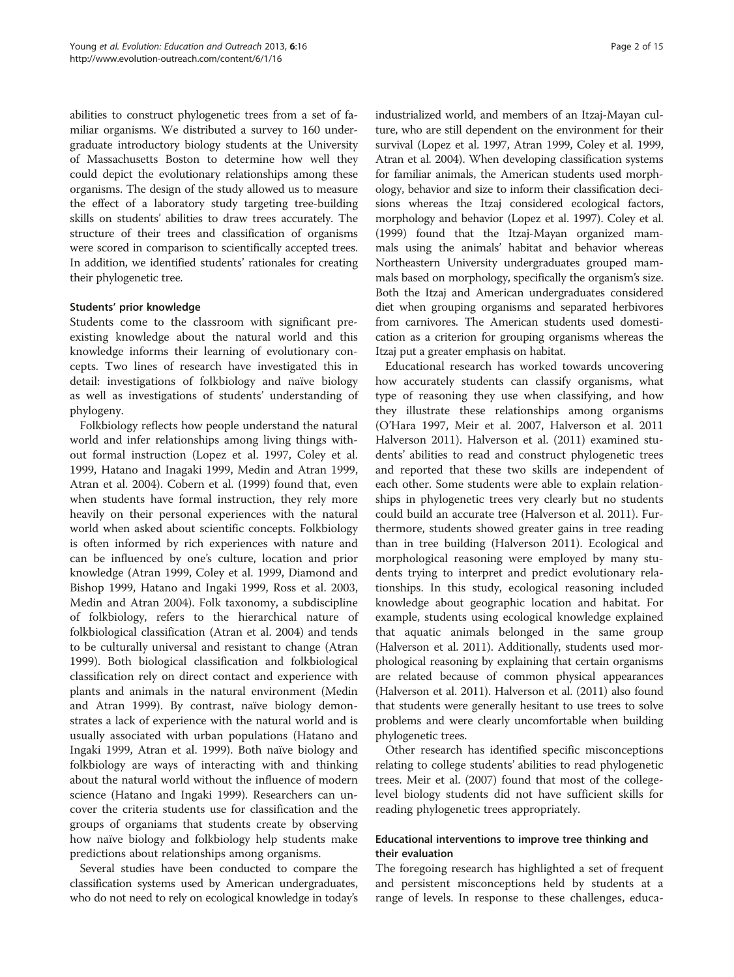abilities to construct phylogenetic trees from a set of familiar organisms. We distributed a survey to 160 undergraduate introductory biology students at the University of Massachusetts Boston to determine how well they could depict the evolutionary relationships among these organisms. The design of the study allowed us to measure the effect of a laboratory study targeting tree-building skills on students' abilities to draw trees accurately. The structure of their trees and classification of organisms were scored in comparison to scientifically accepted trees. In addition, we identified students' rationales for creating their phylogenetic tree.

## Students' prior knowledge

Students come to the classroom with significant preexisting knowledge about the natural world and this knowledge informs their learning of evolutionary concepts. Two lines of research have investigated this in detail: investigations of folkbiology and naïve biology as well as investigations of students' understanding of phylogeny.

Folkbiology reflects how people understand the natural world and infer relationships among living things without formal instruction (Lopez et al. [1997](#page-13-0), Coley et al. [1999](#page-13-0), Hatano and Inagaki [1999](#page-13-0), Medin and Atran [1999](#page-13-0), Atran et al. [2004\)](#page-13-0). Cobern et al. [\(1999\)](#page-13-0) found that, even when students have formal instruction, they rely more heavily on their personal experiences with the natural world when asked about scientific concepts. Folkbiology is often informed by rich experiences with nature and can be influenced by one's culture, location and prior knowledge (Atran [1999](#page-13-0), Coley et al. [1999,](#page-13-0) Diamond and Bishop [1999,](#page-13-0) Hatano and Ingaki [1999,](#page-13-0) Ross et al. [2003](#page-13-0), Medin and Atran [2004\)](#page-13-0). Folk taxonomy, a subdiscipline of folkbiology, refers to the hierarchical nature of folkbiological classification (Atran et al. [2004](#page-13-0)) and tends to be culturally universal and resistant to change (Atran [1999](#page-13-0)). Both biological classification and folkbiological classification rely on direct contact and experience with plants and animals in the natural environment (Medin and Atran [1999\)](#page-13-0). By contrast, naïve biology demonstrates a lack of experience with the natural world and is usually associated with urban populations (Hatano and Ingaki [1999,](#page-13-0) Atran et al. [1999\)](#page-13-0). Both naïve biology and folkbiology are ways of interacting with and thinking about the natural world without the influence of modern science (Hatano and Ingaki [1999\)](#page-13-0). Researchers can uncover the criteria students use for classification and the groups of organiams that students create by observing how naïve biology and folkbiology help students make predictions about relationships among organisms.

Several studies have been conducted to compare the classification systems used by American undergraduates, who do not need to rely on ecological knowledge in today's

industrialized world, and members of an Itzaj-Mayan culture, who are still dependent on the environment for their survival (Lopez et al. [1997,](#page-13-0) Atran [1999,](#page-13-0) Coley et al. [1999](#page-13-0), Atran et al. [2004](#page-13-0)). When developing classification systems for familiar animals, the American students used morphology, behavior and size to inform their classification decisions whereas the Itzaj considered ecological factors, morphology and behavior (Lopez et al. [1997](#page-13-0)). Coley et al. ([1999](#page-13-0)) found that the Itzaj-Mayan organized mammals using the animals' habitat and behavior whereas Northeastern University undergraduates grouped mammals based on morphology, specifically the organism's size. Both the Itzaj and American undergraduates considered diet when grouping organisms and separated herbivores from carnivores. The American students used domestication as a criterion for grouping organisms whereas the Itzaj put a greater emphasis on habitat.

Educational research has worked towards uncovering how accurately students can classify organisms, what type of reasoning they use when classifying, and how they illustrate these relationships among organisms (O'Hara [1997,](#page-13-0) Meir et al. [2007](#page-13-0), Halverson et al. [2011](#page-13-0) Halverson [2011\)](#page-13-0). Halverson et al. ([2011](#page-13-0)) examined students' abilities to read and construct phylogenetic trees and reported that these two skills are independent of each other. Some students were able to explain relationships in phylogenetic trees very clearly but no students could build an accurate tree (Halverson et al. [2011\)](#page-13-0). Furthermore, students showed greater gains in tree reading than in tree building (Halverson [2011\)](#page-13-0). Ecological and morphological reasoning were employed by many students trying to interpret and predict evolutionary relationships. In this study, ecological reasoning included knowledge about geographic location and habitat. For example, students using ecological knowledge explained that aquatic animals belonged in the same group (Halverson et al. [2011](#page-13-0)). Additionally, students used morphological reasoning by explaining that certain organisms are related because of common physical appearances (Halverson et al. [2011](#page-13-0)). Halverson et al. ([2011](#page-13-0)) also found that students were generally hesitant to use trees to solve problems and were clearly uncomfortable when building phylogenetic trees.

Other research has identified specific misconceptions relating to college students' abilities to read phylogenetic trees. Meir et al. ([2007](#page-13-0)) found that most of the collegelevel biology students did not have sufficient skills for reading phylogenetic trees appropriately.

## Educational interventions to improve tree thinking and their evaluation

The foregoing research has highlighted a set of frequent and persistent misconceptions held by students at a range of levels. In response to these challenges, educa-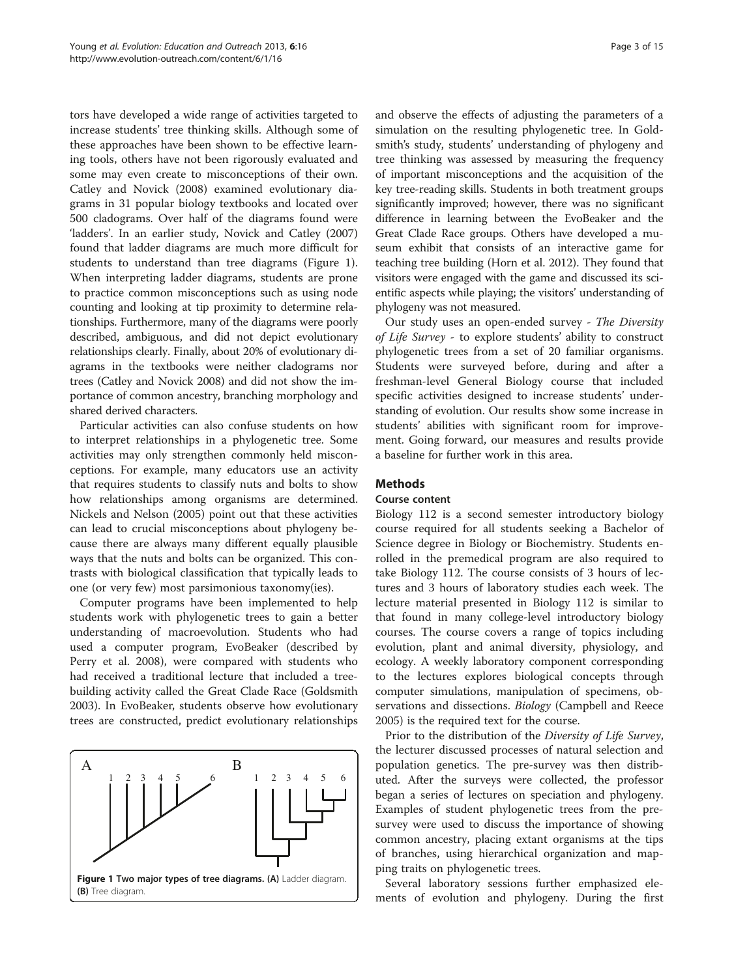tors have developed a wide range of activities targeted to increase students' tree thinking skills. Although some of these approaches have been shown to be effective learning tools, others have not been rigorously evaluated and some may even create to misconceptions of their own. Catley and Novick ([2008](#page-13-0)) examined evolutionary diagrams in 31 popular biology textbooks and located over 500 cladograms. Over half of the diagrams found were 'ladders'. In an earlier study, Novick and Catley ([2007](#page-13-0)) found that ladder diagrams are much more difficult for students to understand than tree diagrams (Figure 1). When interpreting ladder diagrams, students are prone to practice common misconceptions such as using node counting and looking at tip proximity to determine relationships. Furthermore, many of the diagrams were poorly described, ambiguous, and did not depict evolutionary relationships clearly. Finally, about 20% of evolutionary diagrams in the textbooks were neither cladograms nor trees (Catley and Novick [2008](#page-13-0)) and did not show the importance of common ancestry, branching morphology and shared derived characters.

Particular activities can also confuse students on how to interpret relationships in a phylogenetic tree. Some activities may only strengthen commonly held misconceptions. For example, many educators use an activity that requires students to classify nuts and bolts to show how relationships among organisms are determined. Nickels and Nelson ([2005](#page-13-0)) point out that these activities can lead to crucial misconceptions about phylogeny because there are always many different equally plausible ways that the nuts and bolts can be organized. This contrasts with biological classification that typically leads to one (or very few) most parsimonious taxonomy(ies).

Computer programs have been implemented to help students work with phylogenetic trees to gain a better understanding of macroevolution. Students who had used a computer program, EvoBeaker (described by Perry et al. [2008](#page-13-0)), were compared with students who had received a traditional lecture that included a treebuilding activity called the Great Clade Race (Goldsmith [2003](#page-13-0)). In EvoBeaker, students observe how evolutionary trees are constructed, predict evolutionary relationships



and observe the effects of adjusting the parameters of a simulation on the resulting phylogenetic tree. In Goldsmith's study, students' understanding of phylogeny and tree thinking was assessed by measuring the frequency of important misconceptions and the acquisition of the key tree-reading skills. Students in both treatment groups significantly improved; however, there was no significant difference in learning between the EvoBeaker and the Great Clade Race groups. Others have developed a museum exhibit that consists of an interactive game for teaching tree building (Horn et al. [2012\)](#page-13-0). They found that visitors were engaged with the game and discussed its scientific aspects while playing; the visitors' understanding of phylogeny was not measured.

Our study uses an open-ended survey - The Diversity of Life Survey - to explore students' ability to construct phylogenetic trees from a set of 20 familiar organisms. Students were surveyed before, during and after a freshman-level General Biology course that included specific activities designed to increase students' understanding of evolution. Our results show some increase in students' abilities with significant room for improvement. Going forward, our measures and results provide a baseline for further work in this area.

## **Methods**

## Course content

Biology 112 is a second semester introductory biology course required for all students seeking a Bachelor of Science degree in Biology or Biochemistry. Students enrolled in the premedical program are also required to take Biology 112. The course consists of 3 hours of lectures and 3 hours of laboratory studies each week. The lecture material presented in Biology 112 is similar to that found in many college-level introductory biology courses. The course covers a range of topics including evolution, plant and animal diversity, physiology, and ecology. A weekly laboratory component corresponding to the lectures explores biological concepts through computer simulations, manipulation of specimens, observations and dissections. *Biology* (Campbell and Reece [2005](#page-13-0)) is the required text for the course.

Prior to the distribution of the *Diversity of Life Survey*, the lecturer discussed processes of natural selection and population genetics. The pre-survey was then distributed. After the surveys were collected, the professor began a series of lectures on speciation and phylogeny. Examples of student phylogenetic trees from the presurvey were used to discuss the importance of showing common ancestry, placing extant organisms at the tips of branches, using hierarchical organization and mapping traits on phylogenetic trees.

Several laboratory sessions further emphasized elements of evolution and phylogeny. During the first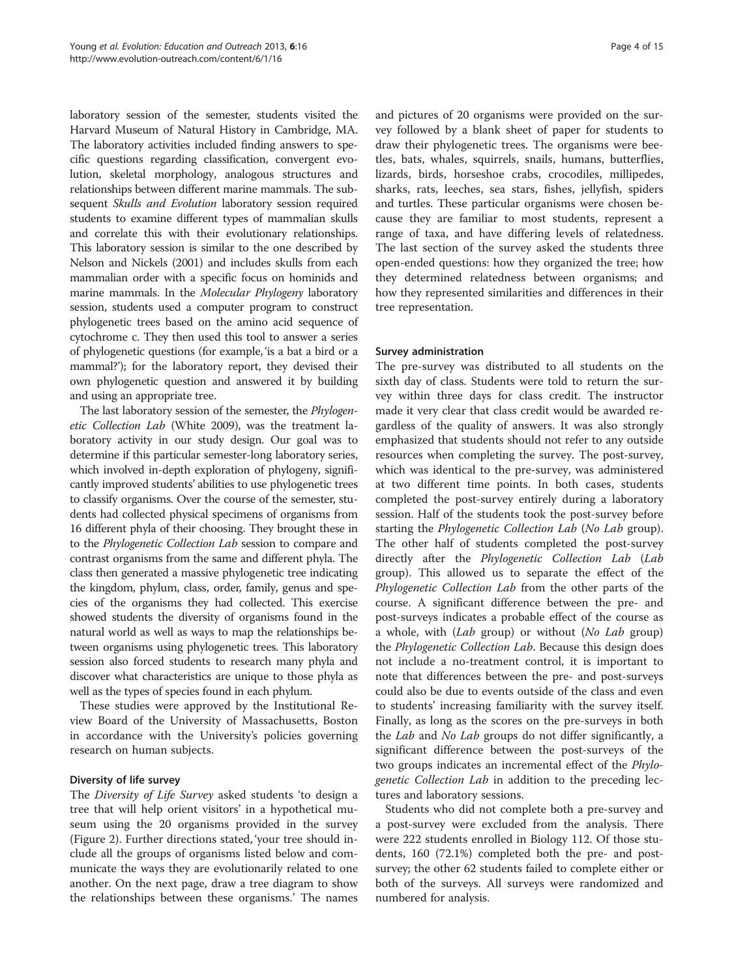laboratory session of the semester, students visited the Harvard Museum of Natural History in Cambridge, MA. The laboratory activities included finding answers to specific questions regarding classification, convergent evolution, skeletal morphology, analogous structures and relationships between different marine mammals. The subsequent *Skulls and Evolution* laboratory session required students to examine different types of mammalian skulls and correlate this with their evolutionary relationships. This laboratory session is similar to the one described by Nelson and Nickels ([2001\)](#page-13-0) and includes skulls from each mammalian order with a specific focus on hominids and marine mammals. In the Molecular Phylogeny laboratory session, students used a computer program to construct phylogenetic trees based on the amino acid sequence of cytochrome c. They then used this tool to answer a series of phylogenetic questions (for example, 'is a bat a bird or a mammal?'); for the laboratory report, they devised their own phylogenetic question and answered it by building and using an appropriate tree.

The last laboratory session of the semester, the Phylogenetic Collection Lab (White [2009](#page-14-0)), was the treatment laboratory activity in our study design. Our goal was to determine if this particular semester-long laboratory series, which involved in-depth exploration of phylogeny, significantly improved students' abilities to use phylogenetic trees to classify organisms. Over the course of the semester, students had collected physical specimens of organisms from 16 different phyla of their choosing. They brought these in to the Phylogenetic Collection Lab session to compare and contrast organisms from the same and different phyla. The class then generated a massive phylogenetic tree indicating the kingdom, phylum, class, order, family, genus and species of the organisms they had collected. This exercise showed students the diversity of organisms found in the natural world as well as ways to map the relationships between organisms using phylogenetic trees. This laboratory session also forced students to research many phyla and discover what characteristics are unique to those phyla as well as the types of species found in each phylum.

These studies were approved by the Institutional Review Board of the University of Massachusetts, Boston in accordance with the University's policies governing research on human subjects.

### Diversity of life survey

The Diversity of Life Survey asked students 'to design a tree that will help orient visitors' in a hypothetical museum using the 20 organisms provided in the survey (Figure [2\)](#page-4-0). Further directions stated, 'your tree should include all the groups of organisms listed below and communicate the ways they are evolutionarily related to one another. On the next page, draw a tree diagram to show the relationships between these organisms.' The names

and pictures of 20 organisms were provided on the survey followed by a blank sheet of paper for students to draw their phylogenetic trees. The organisms were beetles, bats, whales, squirrels, snails, humans, butterflies, lizards, birds, horseshoe crabs, crocodiles, millipedes, sharks, rats, leeches, sea stars, fishes, jellyfish, spiders and turtles. These particular organisms were chosen because they are familiar to most students, represent a range of taxa, and have differing levels of relatedness. The last section of the survey asked the students three open-ended questions: how they organized the tree; how they determined relatedness between organisms; and how they represented similarities and differences in their tree representation.

#### Survey administration

The pre-survey was distributed to all students on the sixth day of class. Students were told to return the survey within three days for class credit. The instructor made it very clear that class credit would be awarded regardless of the quality of answers. It was also strongly emphasized that students should not refer to any outside resources when completing the survey. The post-survey, which was identical to the pre-survey, was administered at two different time points. In both cases, students completed the post-survey entirely during a laboratory session. Half of the students took the post-survey before starting the *Phylogenetic Collection Lab* (No Lab group). The other half of students completed the post-survey directly after the Phylogenetic Collection Lab (Lab group). This allowed us to separate the effect of the Phylogenetic Collection Lab from the other parts of the course. A significant difference between the pre- and post-surveys indicates a probable effect of the course as a whole, with  $(Lab \text{ group})$  or without  $(No \text{ Lab group})$ the Phylogenetic Collection Lab. Because this design does not include a no-treatment control, it is important to note that differences between the pre- and post-surveys could also be due to events outside of the class and even to students' increasing familiarity with the survey itself. Finally, as long as the scores on the pre-surveys in both the *Lab* and *No Lab* groups do not differ significantly, a significant difference between the post-surveys of the two groups indicates an incremental effect of the Phylogenetic Collection Lab in addition to the preceding lectures and laboratory sessions.

Students who did not complete both a pre-survey and a post-survey were excluded from the analysis. There were 222 students enrolled in Biology 112. Of those students, 160 (72.1%) completed both the pre- and postsurvey; the other 62 students failed to complete either or both of the surveys. All surveys were randomized and numbered for analysis.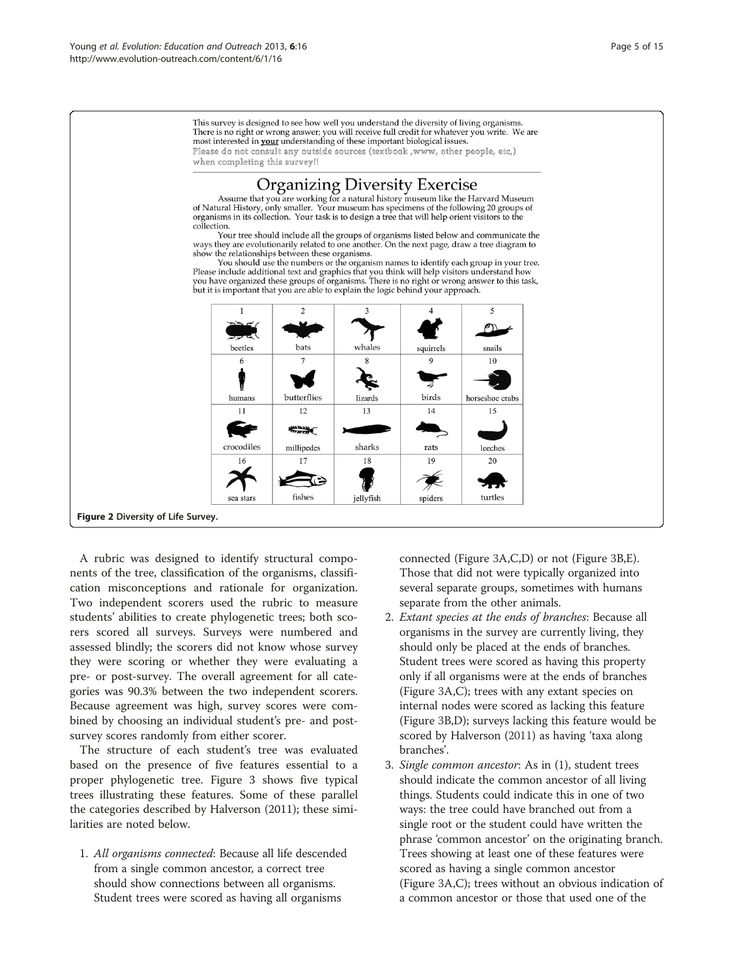<span id="page-4-0"></span>This survey is designed to see how well you understand the diversity of living organisms. There is no right or wrong answer; you will receive full credit for whatever you write. We are most interested in **your** understanding of these important biological issues. Please do not consult any outside sources (textbook, www, other people, etc,) when completing this survey!! Organizing Diversity Exercise Assume that you are working for a natural history museum like the Harvard Museum of Natural History, only smaller. Your museum has specimens of the following 20 groups of organisms in its collection. Your task is to design a tree that will help orient visitors to the collection Your tree should include all the groups of organisms listed below and communicate the ways they are evolutionarily related to one another. On the next page, draw a tree diagram to show the relationships between these organisms. You should use the numbers or the organism names to identify each group in your tree. Please include additional text and graphics that you think will help visitors understand how you have organized these groups of organisms. There is no right or wrong answer to this task, but it is important that you are able to explain the logic behind your approach.  $\mathcal{D}$  $\overline{5}$  $\ell$ beetles bats whales squirrels snails  $\mathbf{Q}$ 10 6  $\overline{7}$ 8 butterflies birds humans lizards horseshoe crabs  $11$ 12  $14$ 13 15 كالمنتقلة crocodiles millipedes sharks rats leeches 16 17 18 19 20 ে sea stars fishes jellyfish turtles spiders Figure 2 Diversity of Life Survey.

A rubric was designed to identify structural components of the tree, classification of the organisms, classification misconceptions and rationale for organization. Two independent scorers used the rubric to measure students' abilities to create phylogenetic trees; both scorers scored all surveys. Surveys were numbered and assessed blindly; the scorers did not know whose survey they were scoring or whether they were evaluating a pre- or post-survey. The overall agreement for all categories was 90.3% between the two independent scorers. Because agreement was high, survey scores were combined by choosing an individual student's pre- and postsurvey scores randomly from either scorer.

The structure of each student's tree was evaluated based on the presence of five features essential to a proper phylogenetic tree. Figure [3](#page-6-0) shows five typical trees illustrating these features. Some of these parallel the categories described by Halverson ([2011\)](#page-13-0); these similarities are noted below.

1. All organisms connected: Because all life descended from a single common ancestor, a correct tree should show connections between all organisms. Student trees were scored as having all organisms

connected (Figure [3A](#page-6-0),C,D) or not (Figure [3](#page-6-0)B,E). Those that did not were typically organized into several separate groups, sometimes with humans separate from the other animals.

- 2. Extant species at the ends of branches: Because all organisms in the survey are currently living, they should only be placed at the ends of branches. Student trees were scored as having this property only if all organisms were at the ends of branches (Figure [3A](#page-6-0),C); trees with any extant species on internal nodes were scored as lacking this feature (Figure [3B](#page-6-0),D); surveys lacking this feature would be scored by Halverson ([2011\)](#page-13-0) as having 'taxa along branches'.
- 3. Single common ancestor: As in (1), student trees should indicate the common ancestor of all living things. Students could indicate this in one of two ways: the tree could have branched out from a single root or the student could have written the phrase 'common ancestor' on the originating branch. Trees showing at least one of these features were scored as having a single common ancestor (Figure [3A](#page-6-0),C); trees without an obvious indication of a common ancestor or those that used one of the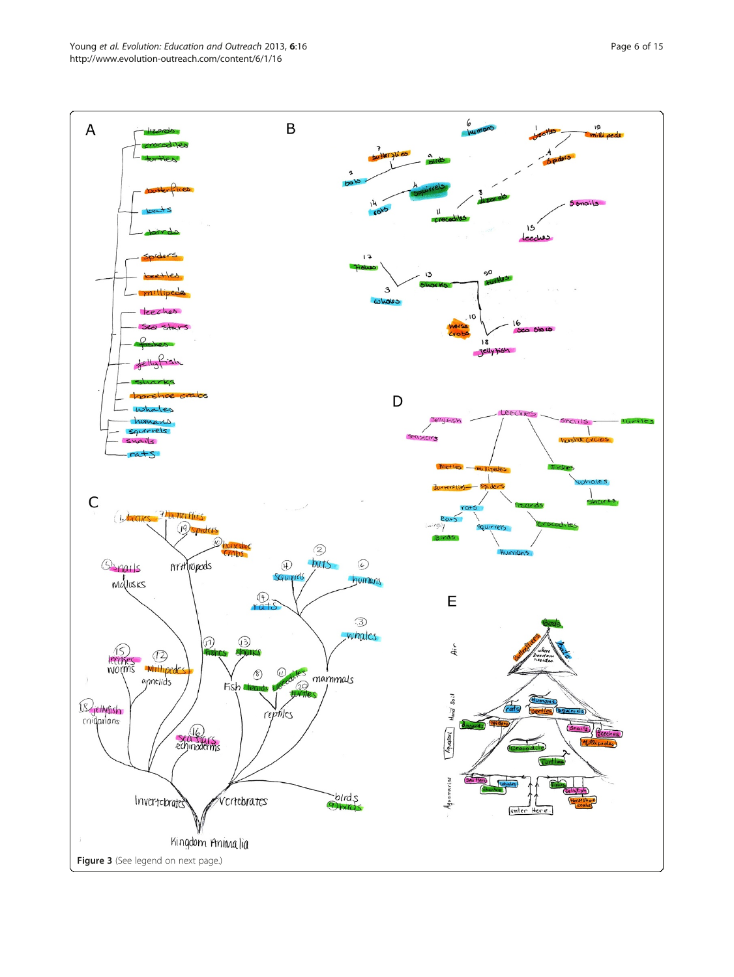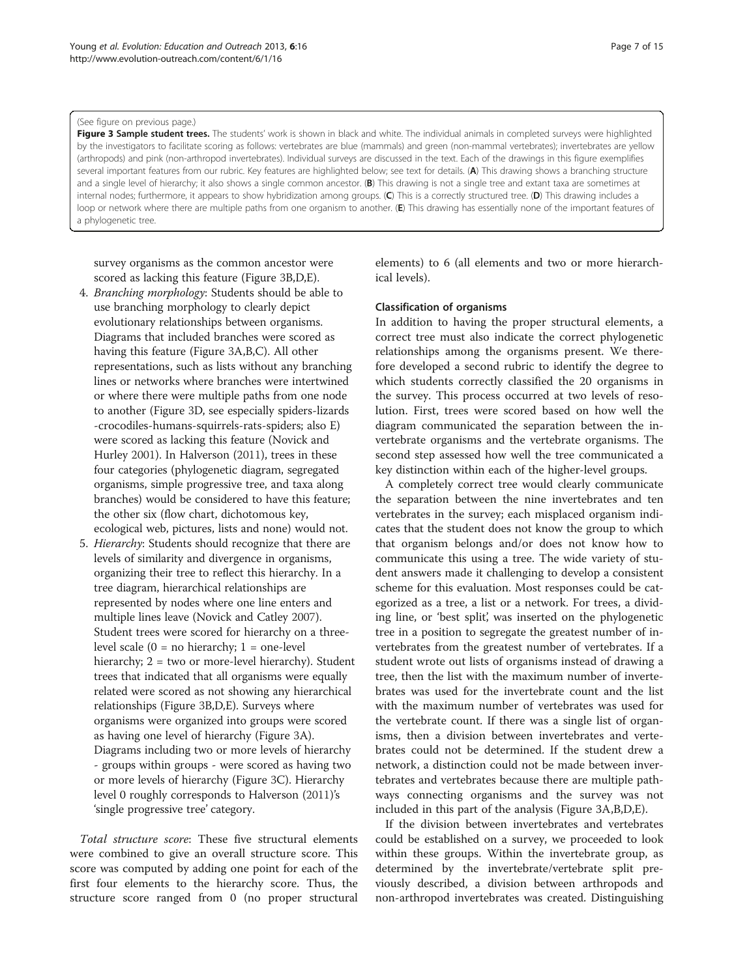#### <span id="page-6-0"></span>(See figure on previous page.)

Figure 3 Sample student trees. The students' work is shown in black and white. The individual animals in completed surveys were highlighted by the investigators to facilitate scoring as follows: vertebrates are blue (mammals) and green (non-mammal vertebrates); invertebrates are yellow (arthropods) and pink (non-arthropod invertebrates). Individual surveys are discussed in the text. Each of the drawings in this figure exemplifies several important features from our rubric. Key features are highlighted below; see text for details. (A) This drawing shows a branching structure and a single level of hierarchy; it also shows a single common ancestor. (B) This drawing is not a single tree and extant taxa are sometimes at internal nodes; furthermore, it appears to show hybridization among groups. (C) This is a correctly structured tree. (D) This drawing includes a loop or network where there are multiple paths from one organism to another. (E) This drawing has essentially none of the important features of a phylogenetic tree.

survey organisms as the common ancestor were scored as lacking this feature (Figure 3B,D,E).

- 4. Branching morphology: Students should be able to use branching morphology to clearly depict evolutionary relationships between organisms. Diagrams that included branches were scored as having this feature (Figure 3A,B,C). All other representations, such as lists without any branching lines or networks where branches were intertwined or where there were multiple paths from one node to another (Figure 3D, see especially spiders-lizards -crocodiles-humans-squirrels-rats-spiders; also E) were scored as lacking this feature (Novick and Hurley [2001\)](#page-13-0). In Halverson [\(2011\)](#page-13-0), trees in these four categories (phylogenetic diagram, segregated organisms, simple progressive tree, and taxa along branches) would be considered to have this feature; the other six (flow chart, dichotomous key, ecological web, pictures, lists and none) would not.
- 5. Hierarchy: Students should recognize that there are levels of similarity and divergence in organisms, organizing their tree to reflect this hierarchy. In a tree diagram, hierarchical relationships are represented by nodes where one line enters and multiple lines leave (Novick and Catley [2007](#page-13-0)). Student trees were scored for hierarchy on a threelevel scale  $(0 = no$  hierarchy;  $1 = one-level$ hierarchy; 2 = two or more-level hierarchy). Student trees that indicated that all organisms were equally related were scored as not showing any hierarchical relationships (Figure 3B,D,E). Surveys where organisms were organized into groups were scored as having one level of hierarchy (Figure 3A). Diagrams including two or more levels of hierarchy - groups within groups - were scored as having two or more levels of hierarchy (Figure 3C). Hierarchy level 0 roughly corresponds to Halverson ([2011\)](#page-13-0)'s 'single progressive tree' category.

Total structure score: These five structural elements were combined to give an overall structure score. This score was computed by adding one point for each of the first four elements to the hierarchy score. Thus, the structure score ranged from 0 (no proper structural

elements) to 6 (all elements and two or more hierarchical levels).

#### Classification of organisms

In addition to having the proper structural elements, a correct tree must also indicate the correct phylogenetic relationships among the organisms present. We therefore developed a second rubric to identify the degree to which students correctly classified the 20 organisms in the survey. This process occurred at two levels of resolution. First, trees were scored based on how well the diagram communicated the separation between the invertebrate organisms and the vertebrate organisms. The second step assessed how well the tree communicated a key distinction within each of the higher-level groups.

A completely correct tree would clearly communicate the separation between the nine invertebrates and ten vertebrates in the survey; each misplaced organism indicates that the student does not know the group to which that organism belongs and/or does not know how to communicate this using a tree. The wide variety of student answers made it challenging to develop a consistent scheme for this evaluation. Most responses could be categorized as a tree, a list or a network. For trees, a dividing line, or 'best split', was inserted on the phylogenetic tree in a position to segregate the greatest number of invertebrates from the greatest number of vertebrates. If a student wrote out lists of organisms instead of drawing a tree, then the list with the maximum number of invertebrates was used for the invertebrate count and the list with the maximum number of vertebrates was used for the vertebrate count. If there was a single list of organisms, then a division between invertebrates and vertebrates could not be determined. If the student drew a network, a distinction could not be made between invertebrates and vertebrates because there are multiple pathways connecting organisms and the survey was not included in this part of the analysis (Figure 3A,B,D,E).

If the division between invertebrates and vertebrates could be established on a survey, we proceeded to look within these groups. Within the invertebrate group, as determined by the invertebrate/vertebrate split previously described, a division between arthropods and non-arthropod invertebrates was created. Distinguishing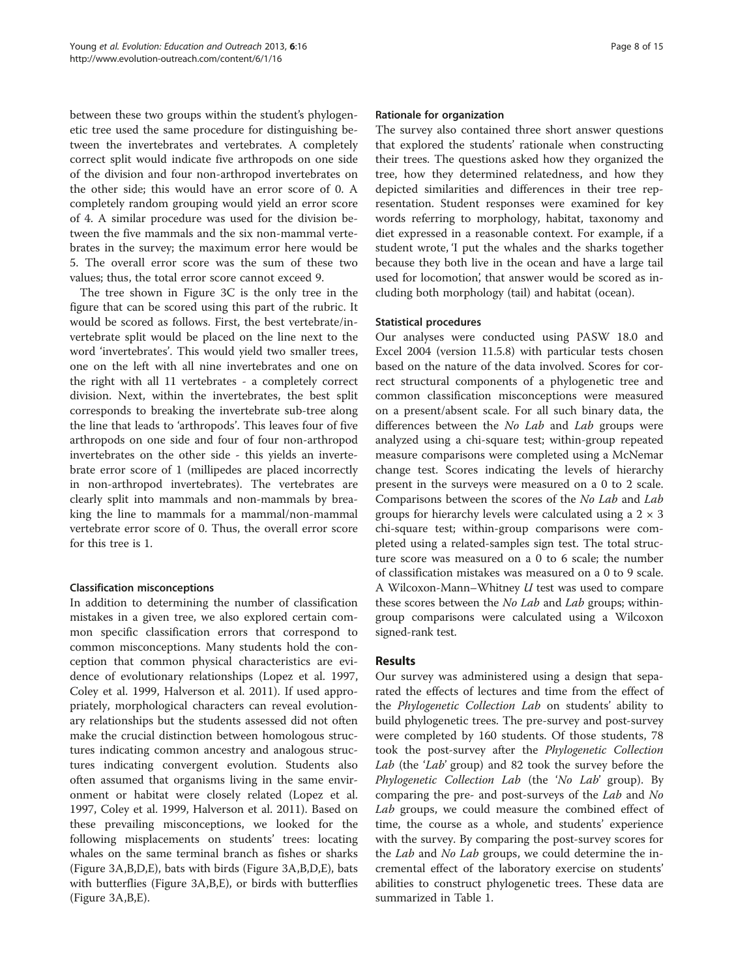between these two groups within the student's phylogenetic tree used the same procedure for distinguishing between the invertebrates and vertebrates. A completely correct split would indicate five arthropods on one side of the division and four non-arthropod invertebrates on the other side; this would have an error score of 0. A completely random grouping would yield an error score of 4. A similar procedure was used for the division between the five mammals and the six non-mammal vertebrates in the survey; the maximum error here would be 5. The overall error score was the sum of these two values; thus, the total error score cannot exceed 9.

The tree shown in Figure [3C](#page-6-0) is the only tree in the figure that can be scored using this part of the rubric. It would be scored as follows. First, the best vertebrate/invertebrate split would be placed on the line next to the word 'invertebrates'. This would yield two smaller trees, one on the left with all nine invertebrates and one on the right with all 11 vertebrates - a completely correct division. Next, within the invertebrates, the best split corresponds to breaking the invertebrate sub-tree along the line that leads to 'arthropods'. This leaves four of five arthropods on one side and four of four non-arthropod invertebrates on the other side - this yields an invertebrate error score of 1 (millipedes are placed incorrectly in non-arthropod invertebrates). The vertebrates are clearly split into mammals and non-mammals by breaking the line to mammals for a mammal/non-mammal vertebrate error score of 0. Thus, the overall error score for this tree is 1.

## Classification misconceptions

In addition to determining the number of classification mistakes in a given tree, we also explored certain common specific classification errors that correspond to common misconceptions. Many students hold the conception that common physical characteristics are evidence of evolutionary relationships (Lopez et al. [1997](#page-13-0), Coley et al. [1999](#page-13-0), Halverson et al. [2011\)](#page-13-0). If used appropriately, morphological characters can reveal evolutionary relationships but the students assessed did not often make the crucial distinction between homologous structures indicating common ancestry and analogous structures indicating convergent evolution. Students also often assumed that organisms living in the same environment or habitat were closely related (Lopez et al. [1997](#page-13-0), Coley et al. [1999](#page-13-0), Halverson et al. [2011](#page-13-0)). Based on these prevailing misconceptions, we looked for the following misplacements on students' trees: locating whales on the same terminal branch as fishes or sharks (Figure [3](#page-6-0)A,B,D,E), bats with birds (Figure [3A](#page-6-0),B,D,E), bats with butterflies (Figure [3](#page-6-0)A,B,E), or birds with butterflies (Figure [3](#page-6-0)A,B,E).

## Rationale for organization

The survey also contained three short answer questions that explored the students' rationale when constructing their trees. The questions asked how they organized the tree, how they determined relatedness, and how they depicted similarities and differences in their tree representation. Student responses were examined for key words referring to morphology, habitat, taxonomy and diet expressed in a reasonable context. For example, if a student wrote, 'I put the whales and the sharks together because they both live in the ocean and have a large tail used for locomotion', that answer would be scored as including both morphology (tail) and habitat (ocean).

## Statistical procedures

Our analyses were conducted using PASW 18.0 and Excel 2004 (version 11.5.8) with particular tests chosen based on the nature of the data involved. Scores for correct structural components of a phylogenetic tree and common classification misconceptions were measured on a present/absent scale. For all such binary data, the differences between the *No Lab* and *Lab* groups were analyzed using a chi-square test; within-group repeated measure comparisons were completed using a McNemar change test. Scores indicating the levels of hierarchy present in the surveys were measured on a 0 to 2 scale. Comparisons between the scores of the No Lab and Lab groups for hierarchy levels were calculated using a  $2 \times 3$ chi-square test; within-group comparisons were completed using a related-samples sign test. The total structure score was measured on a 0 to 6 scale; the number of classification mistakes was measured on a 0 to 9 scale. A Wilcoxon-Mann–Whitney U test was used to compare these scores between the No Lab and Lab groups; withingroup comparisons were calculated using a Wilcoxon signed-rank test.

## Results

Our survey was administered using a design that separated the effects of lectures and time from the effect of the Phylogenetic Collection Lab on students' ability to build phylogenetic trees. The pre-survey and post-survey were completed by 160 students. Of those students, 78 took the post-survey after the Phylogenetic Collection Lab (the 'Lab' group) and 82 took the survey before the Phylogenetic Collection Lab (the 'No Lab' group). By comparing the pre- and post-surveys of the Lab and No Lab groups, we could measure the combined effect of time, the course as a whole, and students' experience with the survey. By comparing the post-survey scores for the *Lab* and *No Lab* groups, we could determine the incremental effect of the laboratory exercise on students' abilities to construct phylogenetic trees. These data are summarized in Table [1](#page-8-0).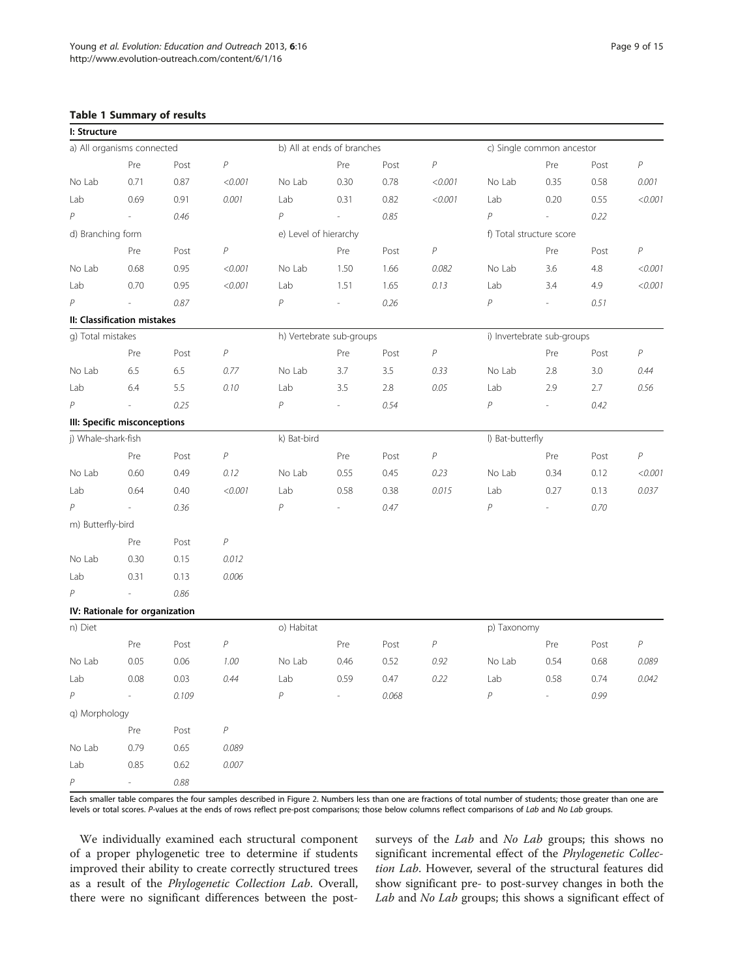#### <span id="page-8-0"></span>Table 1 Summary of results

| I: Structure                   |                            |          |                          |                       |                             |         |                            |                          |                           |         |                  |  |
|--------------------------------|----------------------------|----------|--------------------------|-----------------------|-----------------------------|---------|----------------------------|--------------------------|---------------------------|---------|------------------|--|
|                                | a) All organisms connected |          |                          |                       | b) All at ends of branches  |         |                            |                          | c) Single common ancestor |         |                  |  |
|                                | Pre                        | Post     | $\boldsymbol{P}$         |                       | Pre                         | Post    | $\boldsymbol{P}$           |                          | Pre                       | Post    | $\boldsymbol{P}$ |  |
| No Lab                         | 0.71                       | 0.87     | < 0.001                  | No Lab                | 0.30                        | 0.78    | < 0.001                    | No Lab                   | 0.35                      | 0.58    | 0.001            |  |
| Lab                            | 0.69                       | 0.91     | 0.001                    | Lab                   | 0.31                        | 0.82    | < 0.001                    | Lab                      | 0.20                      | 0.55    | < 0.001          |  |
| P                              | $\sim$                     | 0.46     |                          | P                     | $\mathcal{L}_{\mathcal{A}}$ | 0.85    |                            | $\boldsymbol{P}$         |                           | 0.22    |                  |  |
| d) Branching form              |                            |          |                          | e) Level of hierarchy |                             |         |                            | f) Total structure score |                           |         |                  |  |
|                                | Pre                        | Post     | P                        |                       | Pre                         | Post    | P                          |                          | Pre                       | Post    | $\boldsymbol{P}$ |  |
| No Lab                         | 0.68                       | 0.95     | < 0.001                  | No Lab                | 1.50                        | 1.66    | 0.082                      | No Lab                   | 3.6                       | $4.8\,$ | < 0.001          |  |
| Lab                            | 0.70                       | 0.95     | < 0.001                  | Lab                   | 1.51                        | 1.65    | 0.13                       | Lab                      | 3.4                       | 4.9     | < 0.001          |  |
| $\overline{P}$                 |                            | 0.87     |                          | P                     | $\sim$                      | 0.26    |                            | $\overline{P}$           | $\overline{\phantom{a}}$  | 0.51    |                  |  |
| II: Classification mistakes    |                            |          |                          |                       |                             |         |                            |                          |                           |         |                  |  |
| g) Total mistakes              |                            |          | h) Vertebrate sub-groups |                       |                             |         | i) Invertebrate sub-groups |                          |                           |         |                  |  |
|                                | Pre                        | Post     | $\,P$                    |                       | Pre                         | Post    | P                          |                          | Pre                       | Post    | P                |  |
| No Lab                         | 6.5                        | 6.5      | 0.77                     | No Lab                | 3.7                         | 3.5     | 0.33                       | No Lab                   | 2.8                       | 3.0     | 0.44             |  |
| Lab                            | 6.4                        | 5.5      | 0.10                     | Lab                   | 3.5                         | $2.8\,$ | 0.05                       | Lab                      | 2.9                       | 2.7     | 0.56             |  |
| $\overline{P}$                 | $\overline{\phantom{a}}$   | 0.25     |                          | P                     |                             | 0.54    |                            | $\overline{P}$           |                           | 0.42    |                  |  |
| III: Specific misconceptions   |                            |          |                          |                       |                             |         |                            |                          |                           |         |                  |  |
| j) Whale-shark-fish            |                            |          |                          | k) Bat-bird           |                             |         |                            | I) Bat-butterfly         |                           |         |                  |  |
|                                | Pre                        | Post     | $\,P$                    |                       | Pre                         | Post    | P                          |                          | Pre                       | Post    | $\boldsymbol{P}$ |  |
| No Lab                         | 0.60                       | 0.49     | 0.12                     | No Lab                | 0.55                        | 0.45    | 0.23                       | No Lab                   | 0.34                      | 0.12    | < 0.001          |  |
| Lab                            | 0.64                       | 0.40     | < 0.001                  | Lab                   | 0.58                        | 0.38    | 0.015                      | Lab                      | 0.27                      | 0.13    | 0.037            |  |
| $\,P$                          |                            | 0.36     |                          | $\overline{P}$        |                             | 0.47    |                            | $\overline{P}$           |                           | 0.70    |                  |  |
| m) Butterfly-bird              |                            |          |                          |                       |                             |         |                            |                          |                           |         |                  |  |
|                                | Pre                        | Post     | P                        |                       |                             |         |                            |                          |                           |         |                  |  |
| No Lab                         | 0.30                       | 0.15     | 0.012                    |                       |                             |         |                            |                          |                           |         |                  |  |
| Lab                            | 0.31                       | 0.13     | 0.006                    |                       |                             |         |                            |                          |                           |         |                  |  |
| $\overline{P}$                 | $\overline{\phantom{a}}$   | 0.86     |                          |                       |                             |         |                            |                          |                           |         |                  |  |
| IV: Rationale for organization |                            |          |                          |                       |                             |         |                            |                          |                           |         |                  |  |
| n) Diet                        |                            |          |                          | o) Habitat            |                             |         |                            | p) Taxonomy              |                           |         |                  |  |
|                                | Pre                        | Post     | $\boldsymbol{P}$         |                       | Pre                         | Post    | $\,P$                      |                          | Pre                       | Post    | $\boldsymbol{P}$ |  |
| No Lab                         | 0.05                       | 0.06     | 1.00                     | No Lab                | 0.46                        | 0.52    | 0.92                       | No Lab                   | 0.54                      | 0.68    | 0.089            |  |
| Lab                            | 0.08                       | 0.03     | 0.44                     | Lab                   | 0.59                        | 0.47    | 0.22                       | Lab                      | 0.58                      | 0.74    | 0.042            |  |
| $\,P$                          |                            | 0.109    |                          | P                     |                             | 0.068   |                            | P                        |                           | 0.99    |                  |  |
| q) Morphology                  |                            |          |                          |                       |                             |         |                            |                          |                           |         |                  |  |
|                                | Pre                        | Post     | P                        |                       |                             |         |                            |                          |                           |         |                  |  |
| No Lab                         | 0.79                       | 0.65     | 0.089                    |                       |                             |         |                            |                          |                           |         |                  |  |
| Lab                            | 0.85                       | 0.62     | 0.007                    |                       |                             |         |                            |                          |                           |         |                  |  |
| P                              | $\sim$ 100 $\mu$           | $0.88\,$ |                          |                       |                             |         |                            |                          |                           |         |                  |  |

Each smaller table compares the four samples described in Figure [2](#page-4-0). Numbers less than one are fractions of total number of students; those greater than one are levels or total scores. P-values at the ends of rows reflect pre-post comparisons; those below columns reflect comparisons of Lab and No Lab groups.

We individually examined each structural component of a proper phylogenetic tree to determine if students improved their ability to create correctly structured trees as a result of the Phylogenetic Collection Lab. Overall, there were no significant differences between the postsurveys of the Lab and No Lab groups; this shows no significant incremental effect of the Phylogenetic Collection Lab. However, several of the structural features did show significant pre- to post-survey changes in both the Lab and No Lab groups; this shows a significant effect of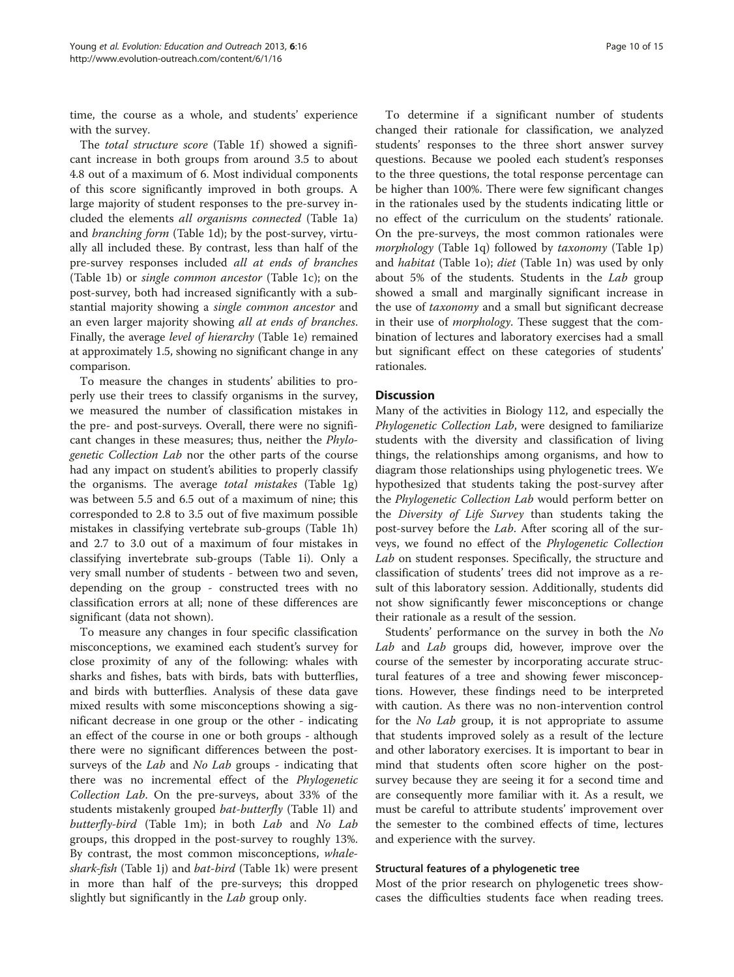time, the course as a whole, and students' experience with the survey.

The total structure score (Table [1](#page-8-0)f) showed a significant increase in both groups from around 3.5 to about 4.8 out of a maximum of 6. Most individual components of this score significantly improved in both groups. A large majority of student responses to the pre-survey included the elements all organisms connected (Table [1a](#page-8-0)) and branching form (Table [1d](#page-8-0)); by the post-survey, virtually all included these. By contrast, less than half of the pre-survey responses included all at ends of branches (Table [1b](#page-8-0)) or single common ancestor (Table [1](#page-8-0)c); on the post-survey, both had increased significantly with a substantial majority showing a single common ancestor and an even larger majority showing all at ends of branches. Finally, the average level of hierarchy (Table [1](#page-8-0)e) remained at approximately 1.5, showing no significant change in any comparison.

To measure the changes in students' abilities to properly use their trees to classify organisms in the survey, we measured the number of classification mistakes in the pre- and post-surveys. Overall, there were no significant changes in these measures; thus, neither the Phylogenetic Collection Lab nor the other parts of the course had any impact on student's abilities to properly classify the organisms. The average total mistakes (Table [1g](#page-8-0)) was between 5.5 and 6.5 out of a maximum of nine; this corresponded to 2.8 to 3.5 out of five maximum possible mistakes in classifying vertebrate sub-groups (Table [1](#page-8-0)h) and 2.7 to 3.0 out of a maximum of four mistakes in classifying invertebrate sub-groups (Table [1i](#page-8-0)). Only a very small number of students - between two and seven, depending on the group - constructed trees with no classification errors at all; none of these differences are significant (data not shown).

To measure any changes in four specific classification misconceptions, we examined each student's survey for close proximity of any of the following: whales with sharks and fishes, bats with birds, bats with butterflies, and birds with butterflies. Analysis of these data gave mixed results with some misconceptions showing a significant decrease in one group or the other - indicating an effect of the course in one or both groups - although there were no significant differences between the postsurveys of the *Lab* and *No Lab* groups - indicating that there was no incremental effect of the Phylogenetic Collection Lab. On the pre-surveys, about 33% of the students mistakenly grouped bat-butterfly (Table [1](#page-8-0)l) and butterfly-bird (Table [1](#page-8-0)m); in both Lab and No Lab groups, this dropped in the post-survey to roughly 13%. By contrast, the most common misconceptions, whale-shark-fish (Table [1](#page-8-0)j) and *bat-bird* (Table 1k) were present in more than half of the pre-surveys; this dropped slightly but significantly in the Lab group only.

To determine if a significant number of students changed their rationale for classification, we analyzed students' responses to the three short answer survey questions. Because we pooled each student's responses to the three questions, the total response percentage can be higher than 100%. There were few significant changes in the rationales used by the students indicating little or no effect of the curriculum on the students' rationale. On the pre-surveys, the most common rationales were morphology (Table [1](#page-8-0)q) followed by taxonomy (Table 1p) and habitat (Table [1o](#page-8-0)); diet (Table [1n](#page-8-0)) was used by only about 5% of the students. Students in the Lab group showed a small and marginally significant increase in the use of *taxonomy* and a small but significant decrease in their use of morphology. These suggest that the combination of lectures and laboratory exercises had a small but significant effect on these categories of students' rationales.

## **Discussion**

Many of the activities in Biology 112, and especially the Phylogenetic Collection Lab, were designed to familiarize students with the diversity and classification of living things, the relationships among organisms, and how to diagram those relationships using phylogenetic trees. We hypothesized that students taking the post-survey after the Phylogenetic Collection Lab would perform better on the Diversity of Life Survey than students taking the post-survey before the Lab. After scoring all of the surveys, we found no effect of the Phylogenetic Collection Lab on student responses. Specifically, the structure and classification of students' trees did not improve as a result of this laboratory session. Additionally, students did not show significantly fewer misconceptions or change their rationale as a result of the session.

Students' performance on the survey in both the No Lab and Lab groups did, however, improve over the course of the semester by incorporating accurate structural features of a tree and showing fewer misconceptions. However, these findings need to be interpreted with caution. As there was no non-intervention control for the *No Lab* group, it is not appropriate to assume that students improved solely as a result of the lecture and other laboratory exercises. It is important to bear in mind that students often score higher on the postsurvey because they are seeing it for a second time and are consequently more familiar with it. As a result, we must be careful to attribute students' improvement over the semester to the combined effects of time, lectures and experience with the survey.

### Structural features of a phylogenetic tree

Most of the prior research on phylogenetic trees showcases the difficulties students face when reading trees.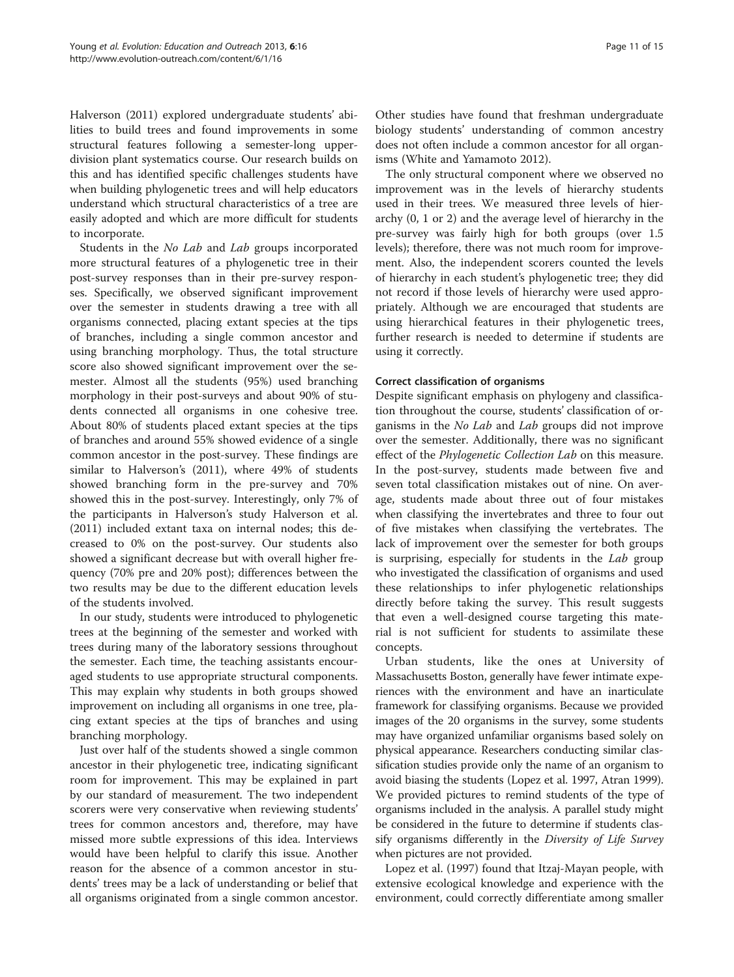Halverson [\(2011\)](#page-13-0) explored undergraduate students' abilities to build trees and found improvements in some structural features following a semester-long upperdivision plant systematics course. Our research builds on this and has identified specific challenges students have when building phylogenetic trees and will help educators understand which structural characteristics of a tree are easily adopted and which are more difficult for students to incorporate.

Students in the No Lab and Lab groups incorporated more structural features of a phylogenetic tree in their post-survey responses than in their pre-survey responses. Specifically, we observed significant improvement over the semester in students drawing a tree with all organisms connected, placing extant species at the tips of branches, including a single common ancestor and using branching morphology. Thus, the total structure score also showed significant improvement over the semester. Almost all the students (95%) used branching morphology in their post-surveys and about 90% of students connected all organisms in one cohesive tree. About 80% of students placed extant species at the tips of branches and around 55% showed evidence of a single common ancestor in the post-survey. These findings are similar to Halverson's [\(2011\)](#page-13-0), where 49% of students showed branching form in the pre-survey and 70% showed this in the post-survey. Interestingly, only 7% of the participants in Halverson's study Halverson et al. ([2011](#page-13-0)) included extant taxa on internal nodes; this decreased to 0% on the post-survey. Our students also showed a significant decrease but with overall higher frequency (70% pre and 20% post); differences between the two results may be due to the different education levels of the students involved.

In our study, students were introduced to phylogenetic trees at the beginning of the semester and worked with trees during many of the laboratory sessions throughout the semester. Each time, the teaching assistants encouraged students to use appropriate structural components. This may explain why students in both groups showed improvement on including all organisms in one tree, placing extant species at the tips of branches and using branching morphology.

Just over half of the students showed a single common ancestor in their phylogenetic tree, indicating significant room for improvement. This may be explained in part by our standard of measurement. The two independent scorers were very conservative when reviewing students' trees for common ancestors and, therefore, may have missed more subtle expressions of this idea. Interviews would have been helpful to clarify this issue. Another reason for the absence of a common ancestor in students' trees may be a lack of understanding or belief that all organisms originated from a single common ancestor.

Other studies have found that freshman undergraduate biology students' understanding of common ancestry does not often include a common ancestor for all organisms (White and Yamamoto [2012\)](#page-14-0).

The only structural component where we observed no improvement was in the levels of hierarchy students used in their trees. We measured three levels of hierarchy (0, 1 or 2) and the average level of hierarchy in the pre-survey was fairly high for both groups (over 1.5 levels); therefore, there was not much room for improvement. Also, the independent scorers counted the levels of hierarchy in each student's phylogenetic tree; they did not record if those levels of hierarchy were used appropriately. Although we are encouraged that students are using hierarchical features in their phylogenetic trees, further research is needed to determine if students are using it correctly.

## Correct classification of organisms

Despite significant emphasis on phylogeny and classification throughout the course, students' classification of organisms in the *No Lab* and *Lab* groups did not improve over the semester. Additionally, there was no significant effect of the *Phylogenetic Collection Lab* on this measure. In the post-survey, students made between five and seven total classification mistakes out of nine. On average, students made about three out of four mistakes when classifying the invertebrates and three to four out of five mistakes when classifying the vertebrates. The lack of improvement over the semester for both groups is surprising, especially for students in the Lab group who investigated the classification of organisms and used these relationships to infer phylogenetic relationships directly before taking the survey. This result suggests that even a well-designed course targeting this material is not sufficient for students to assimilate these concepts.

Urban students, like the ones at University of Massachusetts Boston, generally have fewer intimate experiences with the environment and have an inarticulate framework for classifying organisms. Because we provided images of the 20 organisms in the survey, some students may have organized unfamiliar organisms based solely on physical appearance. Researchers conducting similar classification studies provide only the name of an organism to avoid biasing the students (Lopez et al. [1997](#page-13-0), Atran [1999](#page-13-0)). We provided pictures to remind students of the type of organisms included in the analysis. A parallel study might be considered in the future to determine if students classify organisms differently in the Diversity of Life Survey when pictures are not provided.

Lopez et al. ([1997](#page-13-0)) found that Itzaj-Mayan people, with extensive ecological knowledge and experience with the environment, could correctly differentiate among smaller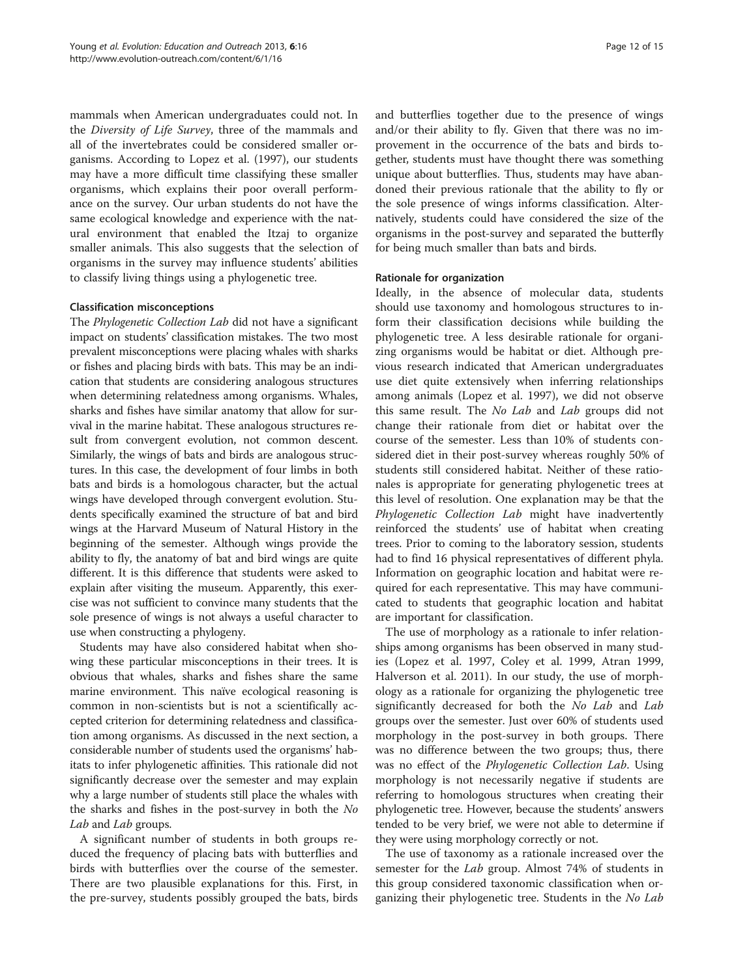mammals when American undergraduates could not. In the Diversity of Life Survey, three of the mammals and all of the invertebrates could be considered smaller organisms. According to Lopez et al. [\(1997](#page-13-0)), our students may have a more difficult time classifying these smaller organisms, which explains their poor overall performance on the survey. Our urban students do not have the same ecological knowledge and experience with the natural environment that enabled the Itzaj to organize smaller animals. This also suggests that the selection of organisms in the survey may influence students' abilities to classify living things using a phylogenetic tree.

## Classification misconceptions

The Phylogenetic Collection Lab did not have a significant impact on students' classification mistakes. The two most prevalent misconceptions were placing whales with sharks or fishes and placing birds with bats. This may be an indication that students are considering analogous structures when determining relatedness among organisms. Whales, sharks and fishes have similar anatomy that allow for survival in the marine habitat. These analogous structures result from convergent evolution, not common descent. Similarly, the wings of bats and birds are analogous structures. In this case, the development of four limbs in both bats and birds is a homologous character, but the actual wings have developed through convergent evolution. Students specifically examined the structure of bat and bird wings at the Harvard Museum of Natural History in the beginning of the semester. Although wings provide the ability to fly, the anatomy of bat and bird wings are quite different. It is this difference that students were asked to explain after visiting the museum. Apparently, this exercise was not sufficient to convince many students that the sole presence of wings is not always a useful character to use when constructing a phylogeny.

Students may have also considered habitat when showing these particular misconceptions in their trees. It is obvious that whales, sharks and fishes share the same marine environment. This naïve ecological reasoning is common in non-scientists but is not a scientifically accepted criterion for determining relatedness and classification among organisms. As discussed in the next section, a considerable number of students used the organisms' habitats to infer phylogenetic affinities. This rationale did not significantly decrease over the semester and may explain why a large number of students still place the whales with the sharks and fishes in the post-survey in both the No Lab and Lab groups.

A significant number of students in both groups reduced the frequency of placing bats with butterflies and birds with butterflies over the course of the semester. There are two plausible explanations for this. First, in the pre-survey, students possibly grouped the bats, birds and butterflies together due to the presence of wings and/or their ability to fly. Given that there was no improvement in the occurrence of the bats and birds together, students must have thought there was something unique about butterflies. Thus, students may have abandoned their previous rationale that the ability to fly or the sole presence of wings informs classification. Alternatively, students could have considered the size of the organisms in the post-survey and separated the butterfly for being much smaller than bats and birds.

### Rationale for organization

Ideally, in the absence of molecular data, students should use taxonomy and homologous structures to inform their classification decisions while building the phylogenetic tree. A less desirable rationale for organizing organisms would be habitat or diet. Although previous research indicated that American undergraduates use diet quite extensively when inferring relationships among animals (Lopez et al. [1997\)](#page-13-0), we did not observe this same result. The *No Lab* and *Lab* groups did not change their rationale from diet or habitat over the course of the semester. Less than 10% of students considered diet in their post-survey whereas roughly 50% of students still considered habitat. Neither of these rationales is appropriate for generating phylogenetic trees at this level of resolution. One explanation may be that the Phylogenetic Collection Lab might have inadvertently reinforced the students' use of habitat when creating trees. Prior to coming to the laboratory session, students had to find 16 physical representatives of different phyla. Information on geographic location and habitat were required for each representative. This may have communicated to students that geographic location and habitat are important for classification.

The use of morphology as a rationale to infer relationships among organisms has been observed in many studies (Lopez et al. [1997](#page-13-0), Coley et al. [1999](#page-13-0), Atran [1999](#page-13-0), Halverson et al. [2011](#page-13-0)). In our study, the use of morphology as a rationale for organizing the phylogenetic tree significantly decreased for both the No Lab and Lab groups over the semester. Just over 60% of students used morphology in the post-survey in both groups. There was no difference between the two groups; thus, there was no effect of the Phylogenetic Collection Lab. Using morphology is not necessarily negative if students are referring to homologous structures when creating their phylogenetic tree. However, because the students' answers tended to be very brief, we were not able to determine if they were using morphology correctly or not.

The use of taxonomy as a rationale increased over the semester for the *Lab* group. Almost 74% of students in this group considered taxonomic classification when organizing their phylogenetic tree. Students in the No Lab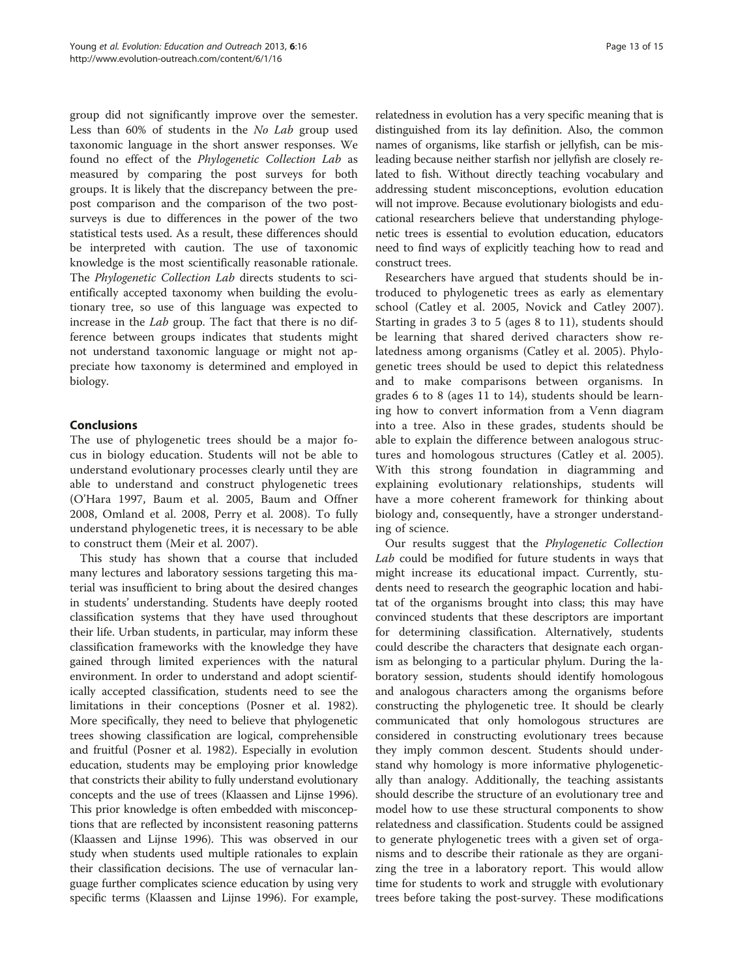group did not significantly improve over the semester. Less than 60% of students in the No Lab group used taxonomic language in the short answer responses. We found no effect of the Phylogenetic Collection Lab as measured by comparing the post surveys for both groups. It is likely that the discrepancy between the prepost comparison and the comparison of the two postsurveys is due to differences in the power of the two statistical tests used. As a result, these differences should be interpreted with caution. The use of taxonomic knowledge is the most scientifically reasonable rationale. The Phylogenetic Collection Lab directs students to scientifically accepted taxonomy when building the evolutionary tree, so use of this language was expected to increase in the *Lab* group. The fact that there is no difference between groups indicates that students might not understand taxonomic language or might not appreciate how taxonomy is determined and employed in biology.

## Conclusions

The use of phylogenetic trees should be a major focus in biology education. Students will not be able to understand evolutionary processes clearly until they are able to understand and construct phylogenetic trees (O'Hara [1997](#page-13-0), Baum et al. [2005,](#page-13-0) Baum and Offner [2008,](#page-13-0) Omland et al. [2008](#page-13-0), Perry et al. [2008](#page-13-0)). To fully understand phylogenetic trees, it is necessary to be able to construct them (Meir et al. [2007\)](#page-13-0).

This study has shown that a course that included many lectures and laboratory sessions targeting this material was insufficient to bring about the desired changes in students' understanding. Students have deeply rooted classification systems that they have used throughout their life. Urban students, in particular, may inform these classification frameworks with the knowledge they have gained through limited experiences with the natural environment. In order to understand and adopt scientifically accepted classification, students need to see the limitations in their conceptions (Posner et al. [1982](#page-13-0)). More specifically, they need to believe that phylogenetic trees showing classification are logical, comprehensible and fruitful (Posner et al. [1982](#page-13-0)). Especially in evolution education, students may be employing prior knowledge that constricts their ability to fully understand evolutionary concepts and the use of trees (Klaassen and Lijnse [1996](#page-13-0)). This prior knowledge is often embedded with misconceptions that are reflected by inconsistent reasoning patterns (Klaassen and Lijnse [1996](#page-13-0)). This was observed in our study when students used multiple rationales to explain their classification decisions. The use of vernacular language further complicates science education by using very specific terms (Klaassen and Lijnse [1996](#page-13-0)). For example,

relatedness in evolution has a very specific meaning that is distinguished from its lay definition. Also, the common names of organisms, like starfish or jellyfish, can be misleading because neither starfish nor jellyfish are closely related to fish. Without directly teaching vocabulary and addressing student misconceptions, evolution education will not improve. Because evolutionary biologists and educational researchers believe that understanding phylogenetic trees is essential to evolution education, educators need to find ways of explicitly teaching how to read and construct trees.

Researchers have argued that students should be introduced to phylogenetic trees as early as elementary school (Catley et al. [2005](#page-13-0), Novick and Catley [2007](#page-13-0)). Starting in grades 3 to 5 (ages 8 to 11), students should be learning that shared derived characters show relatedness among organisms (Catley et al. [2005](#page-13-0)). Phylogenetic trees should be used to depict this relatedness and to make comparisons between organisms. In grades 6 to 8 (ages 11 to 14), students should be learning how to convert information from a Venn diagram into a tree. Also in these grades, students should be able to explain the difference between analogous structures and homologous structures (Catley et al. [2005](#page-13-0)). With this strong foundation in diagramming and explaining evolutionary relationships, students will have a more coherent framework for thinking about biology and, consequently, have a stronger understanding of science.

Our results suggest that the Phylogenetic Collection Lab could be modified for future students in ways that might increase its educational impact. Currently, students need to research the geographic location and habitat of the organisms brought into class; this may have convinced students that these descriptors are important for determining classification. Alternatively, students could describe the characters that designate each organism as belonging to a particular phylum. During the laboratory session, students should identify homologous and analogous characters among the organisms before constructing the phylogenetic tree. It should be clearly communicated that only homologous structures are considered in constructing evolutionary trees because they imply common descent. Students should understand why homology is more informative phylogenetically than analogy. Additionally, the teaching assistants should describe the structure of an evolutionary tree and model how to use these structural components to show relatedness and classification. Students could be assigned to generate phylogenetic trees with a given set of organisms and to describe their rationale as they are organizing the tree in a laboratory report. This would allow time for students to work and struggle with evolutionary trees before taking the post-survey. These modifications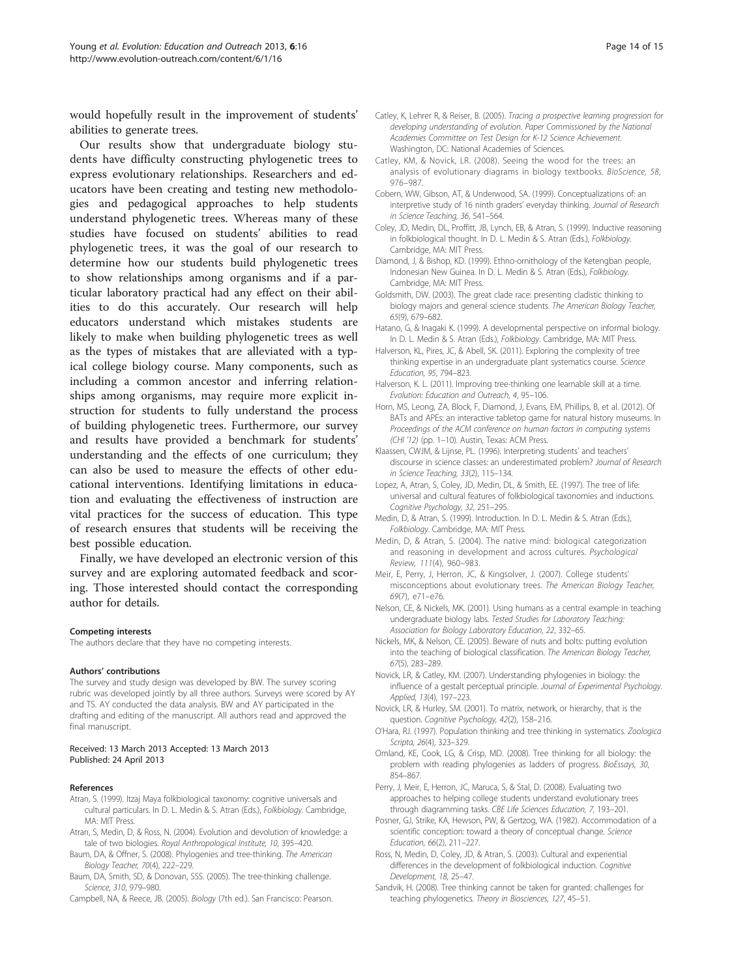<span id="page-13-0"></span>would hopefully result in the improvement of students' abilities to generate trees.

Our results show that undergraduate biology students have difficulty constructing phylogenetic trees to express evolutionary relationships. Researchers and educators have been creating and testing new methodologies and pedagogical approaches to help students understand phylogenetic trees. Whereas many of these studies have focused on students' abilities to read phylogenetic trees, it was the goal of our research to determine how our students build phylogenetic trees to show relationships among organisms and if a particular laboratory practical had any effect on their abilities to do this accurately. Our research will help educators understand which mistakes students are likely to make when building phylogenetic trees as well as the types of mistakes that are alleviated with a typical college biology course. Many components, such as including a common ancestor and inferring relationships among organisms, may require more explicit instruction for students to fully understand the process of building phylogenetic trees. Furthermore, our survey and results have provided a benchmark for students' understanding and the effects of one curriculum; they can also be used to measure the effects of other educational interventions. Identifying limitations in education and evaluating the effectiveness of instruction are vital practices for the success of education. This type of research ensures that students will be receiving the best possible education.

Finally, we have developed an electronic version of this survey and are exploring automated feedback and scoring. Those interested should contact the corresponding author for details.

#### Competing interests

The authors declare that they have no competing interests.

#### Authors' contributions

The survey and study design was developed by BW. The survey scoring rubric was developed jointly by all three authors. Surveys were scored by AY and TS. AY conducted the data analysis. BW and AY participated in the drafting and editing of the manuscript. All authors read and approved the final manuscript.

#### Received: 13 March 2013 Accepted: 13 March 2013 Published: 24 April 2013

#### References

- Atran, S. (1999). Itzaj Maya folkbiological taxonomy: cognitive universals and cultural particulars. In D. L. Medin & S. Atran (Eds.), Folkbiology. Cambridge, MA: MIT Press.
- Atran, S, Medin, D, & Ross, N. (2004). Evolution and devolution of knowledge: a tale of two biologies. Royal Anthropological Institute, 10, 395–420.
- Baum, DA, & Offner, S. (2008). Phylogenies and tree-thinking. The American Biology Teacher, 70(4), 222–229.
- Baum, DA, Smith, SD, & Donovan, SSS. (2005). The tree-thinking challenge. Science, 310, 979–980.
- Campbell, NA, & Reece, JB. (2005). Biology (7th ed.). San Francisco: Pearson.
- Catley, K, Lehrer R, & Reiser, B. (2005). Tracing a prospective learning progression for developing understanding of evolution. Paper Commissioned by the National Academies Committee on Test Design for K-12 Science Achievement. Washington, DC: National Academies of Sciences.
- Catley, KM, & Novick, LR. (2008). Seeing the wood for the trees: an analysis of evolutionary diagrams in biology textbooks. BioScience, 58, 976–987.
- Cobern, WW, Gibson, AT, & Underwood, SA. (1999). Conceptualizations of: an interpretive study of 16 ninth graders' everyday thinking. Journal of Research in Science Teaching, 36, 541–564.
- Coley, JD, Medin, DL, Proffitt, JB, Lynch, EB, & Atran, S. (1999). Inductive reasoning in folkbiological thought. In D. L. Medin & S. Atran (Eds.), Folkbiology. Cambridge, MA: MIT Press.
- Diamond, J, & Bishop, KD. (1999). Ethno-ornithology of the Ketengban people, Indonesian New Guinea. In D. L. Medin & S. Atran (Eds.), Folkbiology. Cambridge, MA: MIT Press.
- Goldsmith, DW. (2003). The great clade race: presenting cladistic thinking to biology majors and general science students. The American Biology Teacher, 65(9), 679–682.
- Hatano, G, & Inagaki K. (1999). A developmental perspective on informal biology. In D. L. Medin & S. Atran (Eds.), Folkbiology. Cambridge, MA: MIT Press.
- Halverson, KL, Pires, JC, & Abell, SK. (2011). Exploring the complexity of tree thinking expertise in an undergraduate plant systematics course. Science Education, 95, 794–823.
- Halverson, K. L. (2011). Improving tree-thinking one learnable skill at a time. Evolution: Education and Outreach, 4, 95–106.
- Horn, MS, Leong, ZA, Block, F, Diamond, J, Evans, EM, Phillips, B, et al. (2012). Of BATs and APEs: an interactive tabletop game for natural history museums. In Proceedings of the ACM conference on human factors in computing systems (CHI '12) (pp. 1–10). Austin, Texas: ACM Press.
- Klaassen, CWJM, & Lijnse, PL. (1996). Interpreting students' and teachers' discourse in science classes: an underestimated problem? Journal of Research in Science Teaching, 33(2), 115–134.
- Lopez, A, Atran, S, Coley, JD, Medin, DL, & Smith, EE. (1997). The tree of life: universal and cultural features of folkbiological taxonomies and inductions. Cognitive Psychology, 32, 251–295.
- Medin, D, & Atran, S. (1999). Introduction. In D. L. Medin & S. Atran (Eds.), Folkbiology. Cambridge, MA: MIT Press.
- Medin, D, & Atran, S. (2004). The native mind: biological categorization and reasoning in development and across cultures. Psychological Review, 111(4), 960–983.
- Meir, E, Perry, J, Herron, JC, & Kingsolver, J. (2007). College students' misconceptions about evolutionary trees. The American Biology Teacher, 69(7), e71–e76.
- Nelson, CE, & Nickels, MK. (2001). Using humans as a central example in teaching undergraduate biology labs. Tested Studies for Laboratory Teaching: Association for Biology Laboratory Education, 22, 332–65.
- Nickels, MK, & Nelson, CE. (2005). Beware of nuts and bolts: putting evolution into the teaching of biological classification. The American Biology Teacher, 67(5), 283–289.
- Novick, LR, & Catley, KM. (2007). Understanding phylogenies in biology: the influence of a gestalt perceptual principle. Journal of Experimental Psychology. Applied, 13(4), 197–223.
- Novick, LR, & Hurley, SM. (2001). To matrix, network, or hierarchy, that is the question. Cognitive Psychology, 42(2), 158–216.
- O'Hara, RJ. (1997). Population thinking and tree thinking in systematics. Zoologica Scripta, 26(4), 323–329.
- Omland, KE, Cook, LG, & Crisp, MD. (2008). Tree thinking for all biology: the problem with reading phylogenies as ladders of progress. BioEssays, 30, 854–867.
- Perry, J, Meir, E, Herron, JC, Maruca, S, & Stal, D. (2008). Evaluating two approaches to helping college students understand evolutionary trees through diagramming tasks. CBE Life Sciences Education, 7, 193–201.
- Posner, GJ, Strike, KA, Hewson, PW, & Gertzog, WA. (1982). Accommodation of a scientific conception: toward a theory of conceptual change. Science Education, 66(2), 211–227.
- Ross, N, Medin, D, Coley, JD, & Atran, S. (2003). Cultural and experiential differences in the development of folkbiological induction. Cognitive Development, 18, 25–47.
- Sandvik, H. (2008). Tree thinking cannot be taken for granted: challenges for teaching phylogenetics. Theory in Biosciences, 127, 45–51.